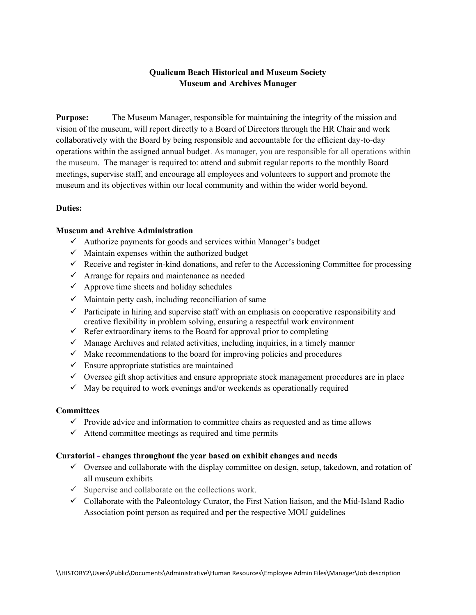## **Qualicum Beach Historical and Museum Society Museum and Archives Manager**

**Purpose:** The Museum Manager, responsible for maintaining the integrity of the mission and vision of the museum, will report directly to a Board of Directors through the HR Chair and work collaboratively with the Board by being responsible and accountable for the efficient day-to-day operations within the assigned annual budget. As manager, you are responsible for all operations within the museum. The manager is required to: attend and submit regular reports to the monthly Board meetings, supervise staff, and encourage all employees and volunteers to support and promote the museum and its objectives within our local community and within the wider world beyond.

## **Duties:**

#### **Museum and Archive Administration**

- $\checkmark$  Authorize payments for goods and services within Manager's budget
- $\checkmark$  Maintain expenses within the authorized budget
- $\checkmark$  Receive and register in-kind donations, and refer to the Accessioning Committee for processing
- $\checkmark$  Arrange for repairs and maintenance as needed
- $\checkmark$  Approve time sheets and holiday schedules
- $\checkmark$  Maintain petty cash, including reconciliation of same
- $\checkmark$  Participate in hiring and supervise staff with an emphasis on cooperative responsibility and creative flexibility in problem solving, ensuring a respectful work environment
- $\checkmark$  Refer extraordinary items to the Board for approval prior to completing
- $\checkmark$  Manage Archives and related activities, including inquiries, in a timely manner
- $\checkmark$  Make recommendations to the board for improving policies and procedures
- $\checkmark$  Ensure appropriate statistics are maintained
- $\checkmark$  Oversee gift shop activities and ensure appropriate stock management procedures are in place
- $\checkmark$  May be required to work evenings and/or weekends as operationally required

#### **Committees**

- $\checkmark$  Provide advice and information to committee chairs as requested and as time allows
- $\checkmark$  Attend committee meetings as required and time permits

#### **Curatorial - changes throughout the year based on exhibit changes and needs**

- $\checkmark$  Oversee and collaborate with the display committee on design, setup, takedown, and rotation of all museum exhibits
- $\checkmark$  Supervise and collaborate on the collections work.
- $\checkmark$  Collaborate with the Paleontology Curator, the First Nation liaison, and the Mid-Island Radio Association point person as required and per the respective MOU guidelines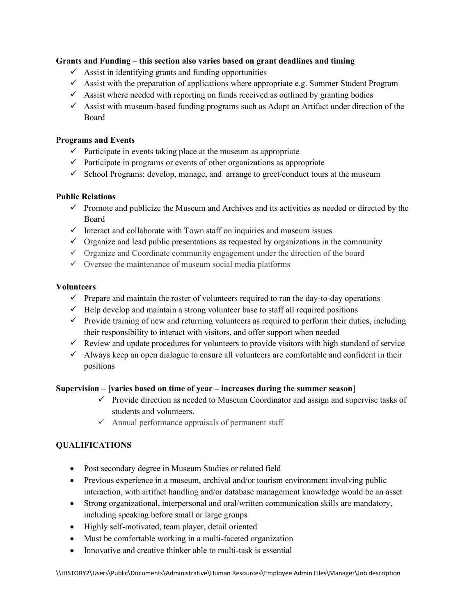## **Grants and Funding – this section also varies based on grant deadlines and timing**

- $\checkmark$  Assist in identifying grants and funding opportunities
- $\checkmark$  Assist with the preparation of applications where appropriate e.g. Summer Student Program
- $\checkmark$  Assist where needed with reporting on funds received as outlined by granting bodies
- $\checkmark$  Assist with museum-based funding programs such as Adopt an Artifact under direction of the Board

#### **Programs and Events**

- $\checkmark$  Participate in events taking place at the museum as appropriate
- $\checkmark$  Participate in programs or events of other organizations as appropriate
- $\checkmark$  School Programs: develop, manage, and arrange to greet/conduct tours at the museum

## **Public Relations**

- $\checkmark$  Promote and publicize the Museum and Archives and its activities as needed or directed by the Board
- $\checkmark$  Interact and collaborate with Town staff on inquiries and museum issues
- $\checkmark$  Organize and lead public presentations as requested by organizations in the community
- $\checkmark$  Organize and Coordinate community engagement under the direction of the board
- $\checkmark$  Oversee the maintenance of museum social media platforms

#### **Volunteers**

- $\checkmark$  Prepare and maintain the roster of volunteers required to run the day-to-day operations
- $\checkmark$  Help develop and maintain a strong volunteer base to staff all required positions
- $\checkmark$  Provide training of new and returning volunteers as required to perform their duties, including their responsibility to interact with visitors, and offer support when needed
- $\checkmark$  Review and update procedures for volunteers to provide visitors with high standard of service
- $\checkmark$  Always keep an open dialogue to ensure all volunteers are comfortable and confident in their positions

#### **Supervision – [varies based on time of year – increases during the summer season]**

- $\checkmark$  Provide direction as needed to Museum Coordinator and assign and supervise tasks of students and volunteers.
- $\checkmark$  Annual performance appraisals of permanent staff

## **QUALIFICATIONS**

- Post secondary degree in Museum Studies or related field
- Previous experience in a museum, archival and/or tourism environment involving public interaction, with artifact handling and/or database management knowledge would be an asset
- Strong organizational, interpersonal and oral/written communication skills are mandatory, including speaking before small or large groups
- Highly self-motivated, team player, detail oriented
- Must be comfortable working in a multi-faceted organization
- Innovative and creative thinker able to multi-task is essential